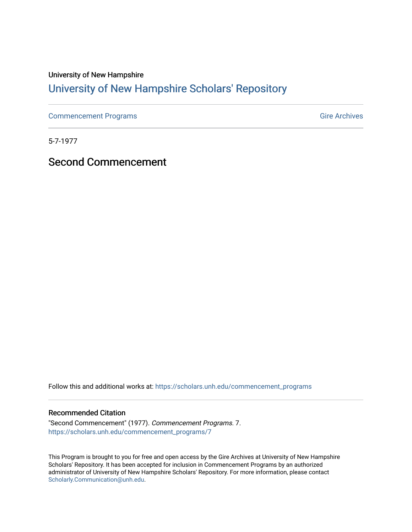### University of New Hampshire [University of New Hampshire Scholars' Repository](https://scholars.unh.edu/)

[Commencement Programs](https://scholars.unh.edu/commencement_programs) Gire Archives

5-7-1977

Second Commencement

Follow this and additional works at: [https://scholars.unh.edu/commencement\\_programs](https://scholars.unh.edu/commencement_programs?utm_source=scholars.unh.edu%2Fcommencement_programs%2F7&utm_medium=PDF&utm_campaign=PDFCoverPages) 

#### Recommended Citation

"Second Commencement" (1977). Commencement Programs. 7. [https://scholars.unh.edu/commencement\\_programs/7](https://scholars.unh.edu/commencement_programs/7?utm_source=scholars.unh.edu%2Fcommencement_programs%2F7&utm_medium=PDF&utm_campaign=PDFCoverPages)

This Program is brought to you for free and open access by the Gire Archives at University of New Hampshire Scholars' Repository. It has been accepted for inclusion in Commencement Programs by an authorized administrator of University of New Hampshire Scholars' Repository. For more information, please contact [Scholarly.Communication@unh.edu](mailto:Scholarly.Communication@unh.edu).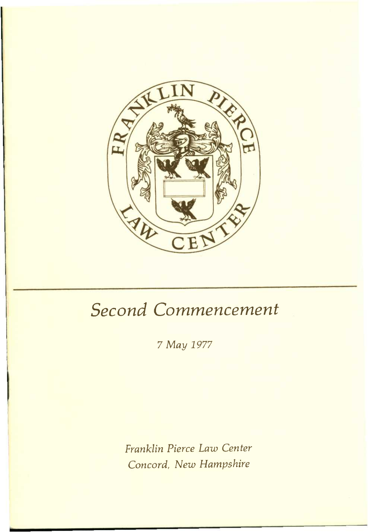

# *Second Commencement*

*7 May 1977* 

*Franklin Pierce Law Center Concord, New Hampshire*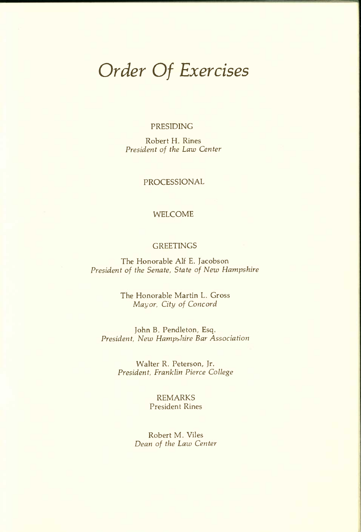## *Order Of Exercises*

#### PRESIDING

Robert H. Rines *President of the Law Center* 

#### PROCESSIONAL

#### WELCOME

#### **GREETINGS**

The Honorable Alf E. Jacobson *President of the Senate, State of New Hampshire* 

> The Honorable Martin L. Gross *Mayor, City of Concord*

John B. Pendleton, Esq. *President, New Hampshire Bar Association* 

> Walter R. Peterson, Jr. *President, Franklin Pierce College*

#### REMARKS President Rines

Robert M. Viles *Dean of the Law Center*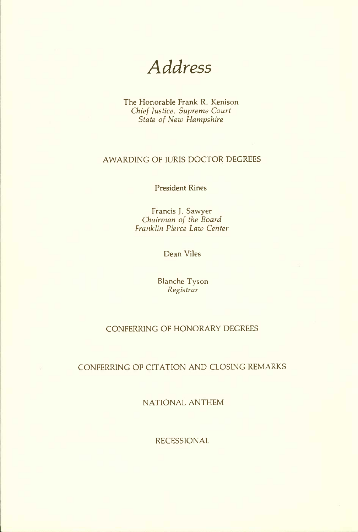*Address* 

The Honorable Frank R. Kenison *Chief Justice, Supreme Court State of New Hampshire* 

#### AWARDING OF JURIS DOCTOR DEGREES

President Rines

Francis J. Sawyer *Chairman of the Board Franklin Pierce Law Center* 

Dean Viles

Blanche Tyson *Registrar* 

#### CONFERRING OF HONORARY DEGREES

#### CONFERRING OF CITATION AND CLOSING REMARKS

NATIONAL ANTHEM

RECESSIONAL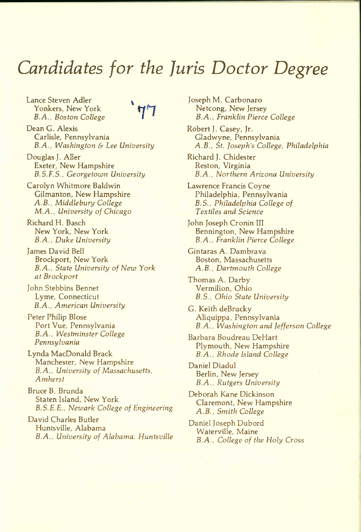## *Candidates for the Juris Doctor Degree*

Lance Steven Adler ^ Yonkers, New York *B.A., Boston College I* 

Dean G. Alexis Carlisle, Pennsylvania *B.A., Washington & Lee University* 

Douglas J. Aller Exeter, New Hampshire *B.S.F.S., Georgetown University* 

Carolyn Whitmore Baldwin Gilmanton, New Hampshire *A.B., Middlebury College M.A., University of Chicago* 

Richard H. Basch New York, New York *B.A., Duke University* 

James David Bell Brockport, New York *B.A., State University of New York at Brockport* 

John Stebbins Bennet Lyme, Connecticut *B.A., American University* 

Peter Philip Blose Port Vue, Pennsylvania *B.A., Westminster College Pennsylvania* 

Lynda MacDonald Brack Manchester, New Hampshire *B.A., University of Massachusetts, Amherst* 

Bruce B. Brunda Staten Island, New York *B. S. E. E., Newark College of Engineering* 

David Charles Butler Huntsville, Alabama *B.A., University of Alabama, Huntsville*  Joseph M. Carbonaro Netcong, New Jersey *B.A., Franklin Pierce College* 

Robert J. Casey, Jr. Gladwyne, Pennsylvania *A.B., St. Joseph's College, Philadelphia* 

Richard J. Chidester Reston, Virginia *B.A., Northern Arizona University* 

Lawrence Francis Coyne Philadelphia, Pennsylvania *B.S., Philadelphia College of Textiles and Science* 

John Joseph Cronin III Bennington, New Hampshire *B.A., Franklin Pierce College* 

Gintaras A. Dambrava Boston, Massachusetts *A.B., Dartmouth College* 

Thomas A. Darby Vermilion, Ohio *B.S., Ohio State University* 

G. Keith deBrucky Aliquippa, Pennsylvania *B.A., Washington and Jefferson College* 

Barbara Boudreau DeHart Plymouth, New Hampshire *B.A., Rhode Island College* 

Daniel Diadul Berlin, New Jersey *B.A., Rutgers University* 

Deborah Kane Dickinson Claremont, New Hampshire *A.B., Smith College* 

Daniel Joseph Dubord Waterville, Maine *B.A., College of the Holy Cross*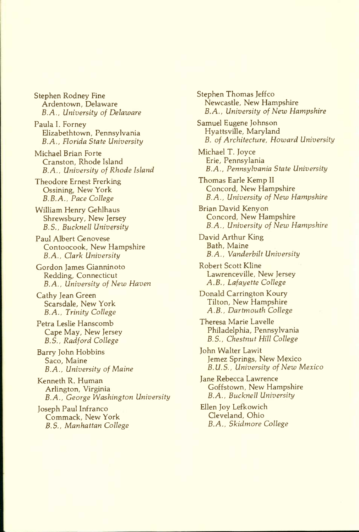Stephen Rodney Fine Ardentown, Delaware *B.A., University of Delaware* 

Paula I. Forney Hizabethtown, Pennsylvania *B.A., Florida State University* 

Michael Brian Forte Cranston, Rhode Island *B.A., University of Rhode Island* 

Theodore Ernest Frerking Ossining, New York *B.B.A., Pace College* 

William Henry Gehlhaus Shrewsbury, New Jersey *B.S., Bucknell University* 

Paul Albert Genovese Contoocook, New Hampshire *B.A., Clark University* 

Gordon James Gianninoto Redding, Connecticut *B.A., University of New Haven* 

Cathy Jean Green Scarsdale, New York *B.A., Trinity College* 

Petra Leslie Hanscomb Cape May, New Jersey *B.S., Radford College* 

Barry John Hobbins Saco, Maine *B.A., University of Maine* 

Kenneth R. Human Arlington, Virginia *B.A., George Washington University* 

Joseph Paul Infranco Commack, New York *B.S., Manhattan College*  Stephen Thomas Jeffco Newcastle, New Hampshire *B.A., University of New Hampshire* 

Samuel Eugene Johnson Hyattsville, Maryland *B. of Architecture, Howard University* 

Michael T. Joyce Erie, Pennsylania *B.A., Pennsylvania State University* 

Thomas Earle Kemp II Concord, New Hampshire *B.A., University of New Hampshire* 

Brian David Kenyon Concord, New Hampshire *B.A., University of New Hampshire* 

David Arthur King Bath, Maine *B.A., Vanderbilt University* 

Robert Scott Kline Lawrenceville, New Jersey *A.B., Lafayette College* 

Donald Carrington Koury Tilton, New Hampshire *A.B., Dartmouth College* 

Theresa Marie Lavelle Philadelphia, Pennsylvania *B.S., Chestnut Hill College* 

John Walter Lawit Jemez Springs, New Mexico *B. U. S., University of New Mexico* 

Jane Rebecca Lawrence Goffstown, New Hampshire *B.A., Bucknell University* 

Ellen Joy Lefkowich Cleveland, Ohio *B.A., Skidmore College*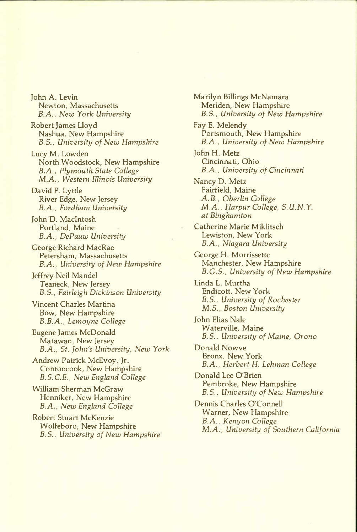John A. Levin Newton, Massachusetts *B.A., New York University* 

Robert James Lloyd Nashua, New Hampshire *B.S., University of New Hampshire* 

Lucy M. Lowden North Woodstock, New Hampshire *B.A., Plymouth State College M.A., Western Illinois University* 

David F. Lyttle River Edge, New Jersey *B.A., Fordham University* 

John D. MacIntosh Portland, Maine *B.A., DePauw University* 

George Richard MacRae Petersham, Massachusetts *B.A., University of New Hampshire* 

Jeffrey Neil Mandel Teaneck, New Jersey *B.S., Fairleigh Dickinson University* 

Vincent Charles Martina Bow, New Hampshire *B.B.A., Lemoyne College* 

Eugene James McDonald Matawan, New Jersey *B.A., St. John's University, New York* 

Andrew Patrick McEvoy, Jr. Contoocook, New Hampshire *B.S.C.E., New England College* 

William Sherman McGraw Henniker, New Hampshire *B.A., New England College* 

Robert Stuart McKenzie Wolfeboro, New Hampshire *B.S., University of New Hampshire* 

Marilyn Billings McNamara Meriden, New Hampshire *B.S., University of New Hampshire*  Fay E. Melendy Portsmouth, New Hampshire *B.A., University of New Hampshire*  John H. Metz Cincinnati, Ohio *B.A., University of Cincinnati*  Nancy D. Metz Fairfield, Maine *A.B., Oberlin College M.A., Harpur College, S.U.N.Y. at Binghamton*  Catherine Marie Miklitsch Lewiston, New York *B.A., Niagara University*  George H. Morrissette Manchester, New Hampshire *B.G.S., University of New Hampshire*  Linda L. Murtha Endicott, New York *B.S., University of Rochester M.S., Boston University*  John Elias Nale Waterville, Maine *B.S., University of Maine, Orono*  Donald Nowve Bronx, New York *B.A., Herbert H. Lehman College*  Donald Lee O'Brien Pembroke, New Hampshire *B.S., University of New Hampshire*  Dennis Charles O'Connell Warner, New Hampshire *B.A., Kenyon College M.A., University of Southern California*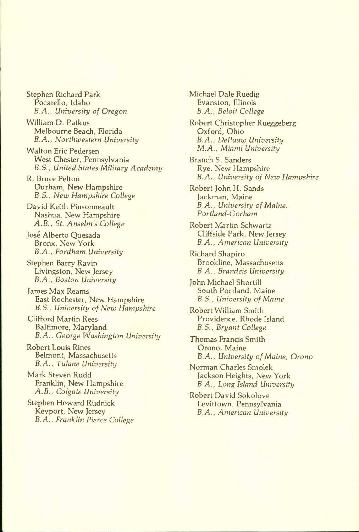Stephen Richard Park Pocatello, Idaho *B.A., University of Oregon* 

William D. Patkus Melbourne Beach, Florida *B.A., Northwestern University* 

Walton Eric Pedersen West Chester, Pennsylvania *B.S., United States Military Academy* 

R. Bruce Pelton Durham, New Hampshire *B.S.. New Hampshire College* 

David Keith Pinsonneault Nashua, New Hampshire *A.B., St. Anselm's College* 

Jose Alberto Quesada Bronx, New York *B.A., Fordham University* 

Stephen Barry Ravin Livingston, New Jersey *B.A., Boston University* 

James Max Reams East Rochester, New Hampshire *B.S., University of New Hampshire* 

Clifford Martin Rees Baltimore, Maryland *B.A., George Washington University* 

Robert Louis Rines Belmont, Massachusetts *B.A., Tulane University* 

Mark Steven Rudd Franklin, New Hampshire *A.B., Colgate University* 

Stephen Howard Rudnick Keyport, New Jersey *B.A., Franklin Pierce College*  Michael Dale Ruedig Evanston, Illinois *B.A., Beloit College* 

Robert Christopher Rueggeberg Oxford, Ohio *B.A., DePauw University M.A., Miami University* 

Branch S. Sanders Rye, New Hampshire *B.A., University of New Hampshire* 

Robert-John H. Sands Jackman, Maine *B.A., University of Maine, Portland-Gorham* 

Robert Martin Schwartz Cliffside Park, New Jersey *B.A., American University* 

Richard Shapiro Brookline, Massachusetts *B.A., Brandeis University* 

John Michael Shortill South Portland, Maine *B.S., University of Maine* 

Robert William Smith Providence, Rhode Island *B.S., Bryant College* 

Thomas Francis Smith Orono, Maine *B.A., University of Maine, Orono* 

Norman Charles Smolek Jackson Heights, New York *B.A., Long Island University* 

Robert David Sokolove Levittown, Pennsylvania *B.A., American University*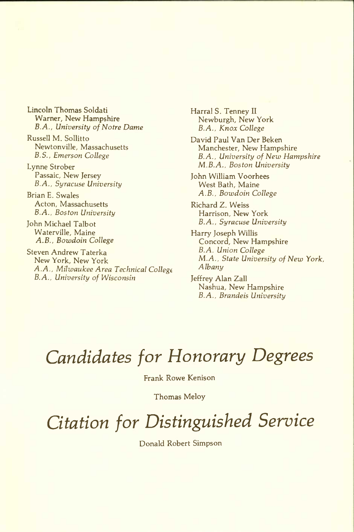Lincoln Thomas Soldati Warner, New Hampshire *B.A., University of Notre Dame* 

Russell M. Sollitto Newtonville, Massachusetts *B.S., Emerson College* 

Lynne Strober Passaic, New Jersey *B.A., Syracuse University* 

Brian E. Swales Acton, Massachusetts *B.A., Boston University* 

John Michael Talbot Waterville, Maine *A.B., Bowdoin College* 

Steven Andrew Taterka New York, New York *A.A., Milwaukee Area Technical Collegt B.A., University of Wisconsin* 

Harral S. Tenney II Newburgh, New York *B.A., Knox College* 

David Paul Van Der Beken Manchester, New Hampshire *B.A., University of New Hampshire M.B.A., Boston University* 

John William Voorhees West Bath, Maine *A.B., Bowdoin College* 

Richard Z. Weiss Harrison, New York *B.A., Syracuse University* 

Harry Joseph Willis Concord, New Hampshire *B.A. Union College M.A., State University of New York, Albany* 

Jeffrey Alan Zall Nashua, New Hampshire *B.A., Brandeis University* 

## *Candidates for Honorary Degrees*

Frank Rowe Kenison

Thomas Meloy

*Citation for Distinguished Service* 

Donald Robert Simpson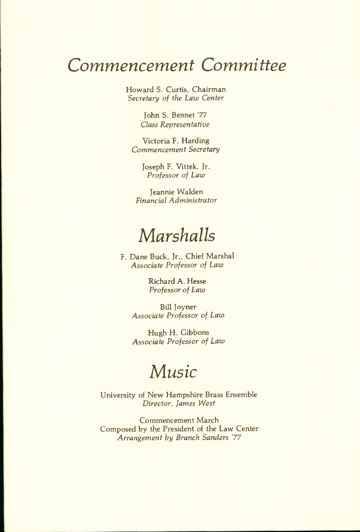## *Commencement Committee*

Howard S. Curtis, Chairman *Secretary of the Law Center* 

> John S. Bennet '77 *Class Representative*

Victoria F. Harding *Commencement Secretary* 

> Joseph F. Vittek, Jr. *Professor of Law*

Jeannie Walden *Financial Administrator* 

## *Marshalls*

F. Dane Buck, Jr., Chief Marshal *Associate Professor of Law* 

> Richard A. Hesse *Professor of Law*

Bill Joyner *Associate Professor of Law* 

Hugh H. Gibbons *Associate Professor of Law* 

### *Music*

University of New Hampshire Brass Ensemble *Director, James West* 

Commencement March Composed by the President of the Law Center *Arrangement by Branch Sanders '77*